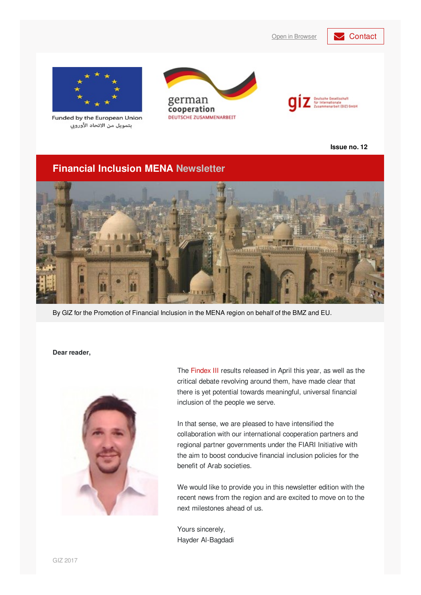Open in [Browser](https://login.mailingwork.de/email/testPreview/simulateMailingFunction/4999) **[Contact](mailto: financialinclusion-mena@giz.de?subject=Newsletter feedback)** 



Funded by the European Union بتمويل من الاتحاد الأوروبي





**Issue no. 12**

# **Financial Inclusion MENA Newsletter**



By GIZ for the Promotion of Financial Inclusion in the MENA region on behalf of the BMZ and EU.

#### **Dear reader,**



The [Findex](https://globalfindex.worldbank.org/) III results released in April this year, as well as the critical debate revolving around them, have made clear that there is yet potential towards meaningful, universal financial inclusion of the people we serve.

In that sense, we are pleased to have intensified the collaboration with our international cooperation partners and regional partner governments under the FIARI Initiative with the aim to boost conducive financial inclusion policies for the benefit of Arab societies.

We would like to provide you in this newsletter edition with the recent news from the region and are excited to move on to the next milestones ahead of us.

Yours sincerely, Hayder Al-Bagdadi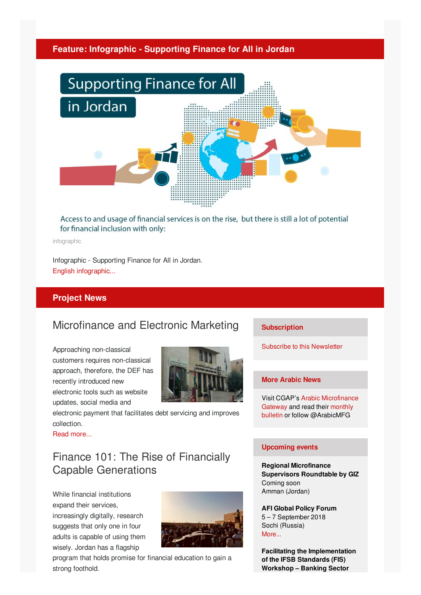## **Feature: Infographic - Supporting Finance for All in Jordan**



## Access to and usage of financial services is on the rise, but there is still a lot of potential for financial inclusion with only:

infographic

Infographic - Supporting Finance for All in Jordan. English [infographic...](http://microfinance-mena.org/wp-content/uploads/2018/07/GIZ-Infographics-English-Final_Artboard-8_Artboard-8.png)

## **Project News**

# Microfinance and Electronic Marketing

Approaching non-classical customers requires non-classical approach, therefore, the DEF has recently introduced new electronic tools such as website updates, social media and



electronic payment that facilitates debt servicing and improves collection.

Read [more...](http://microfinance-mena.org/news/microfinance-electronic-marketing/)

# Finance 101: The Rise of Financially Capable Generations

While financial institutions expand their services, increasingly digitally, research suggests that only one in four adults is capable of using them wisely. Jordan has a flagship



program that holds promise for financial education to gain a strong foothold.

#### **Subscription**

Subscribe to this [Newsletter](mailto:financialinclusion-mena@giz.de?cc=alaa.alhyari@giz.de&subject=Newsletter subscription&body=Dear GIZ team, I would like to subscribe to your newsletter.)

#### **More Arabic News**

Visit CGAP's Arabic [Microfinance](https://www.microfinancegateway.org/ar) Gateway and read their monthly bulletin or follow [@ArabicMFG](https://www.microfinancegateway.org/ar/bulletin)

#### **Upcoming events**

**Regional Microfinance Supervisors Roundtable by GIZ** Coming soon Amman (Jordan)

**AFI Global Policy Forum** 5 – 7 September 2018 Sochi (Russia) [More...](https://www.afi-global.org/events/2018-afi-global-policy-forum-gpf)

**Facilitating the Implementation of the IFSB Standards (FIS) Workshop – Banking Sector**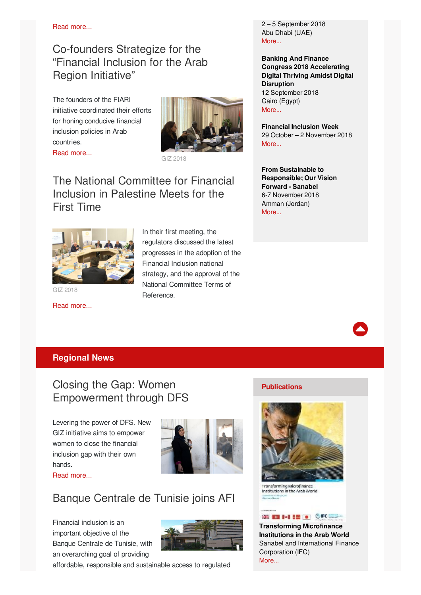Read [more...](http://microfinance-mena.org/news/finance-101-rise-financially-capable-generations/)

# Co-founders Strategize for the "Financial Inclusion for the Arab Region Initiative"

The founders of the FIARI initiative coordinated their efforts for honing conducive financial inclusion policies in Arab countries. Read [more...](http://microfinance-mena.org/news/founding-partners-meet-financial-inclusion-arab-region-initiative/)



GIZ 2018

# The National Committee for Financial Inclusion in Palestine Meets for the First Time



GIZ 2018

Read [more...](http://microfinance-mena.org/news/national-committee-financial-inclusion-palestine-holds-first-meeting/)

## In their first meeting, the regulators discussed the latest progresses in the adoption of the Financial Inclusion national strategy, and the approval of the National Committee Terms of Reference.

2 – 5 September 2018 Abu Dhabi (UAE) [More...](https://www.ifsb.org/event_detail.php?e_id=322&selcategory=IFSB-FIS Workshop&selstatus=curr&txtsearchName=&selcount=)

**Banking And Finance Congress 2018 Accelerating Digital Thriving Amidst Digital Disruption** 12 September 2018 Cairo (Egypt) [More...](https://www.idc.com/mea/events/65288-banking-and-finance-congress-2018)

**Financial Inclusion Week** 29 October – 2 November 2018 [More...](http://financialinclusionweek.org/)

**From Sustainable to Responsible; Our Vision Forward - Sanabel** 6-7 November 2018 Amman (Jordan) [More...](http://sanabelconf.org/index.php)



## **Regional News**

# Closing the Gap: Women Empowerment through DFS

Levering the power of DFS. New GIZ initiative aims to empower women to close the financial inclusion gap with their own hands.



Read [more...](http://microfinance-mena.org/news/closing-gap-women-empowerment-digital-financial-services-jordan/)

# Banque Centrale de Tunisie joins AFI

Financial inclusion is an important objective of the Banque Centrale de Tunisie, with an overarching goal of providing



affordable, responsible and sustainable access to regulated

## **Publications**



Transforming Microfinance Institutions in the Arab World

## SEED 1-1 12 10 CIRCLES-

**Transforming Microfinance Institutions in the Arab World** Sanabel and International Finance Corporation (IFC) [More...](https://www.ifc.org/wps/wcm/connect/1ffc3ec0-63ac-4426-863c-c7d1b8b0df46/ESOP-Transforming+22-5-2018.pdf?MOD=AJPERES)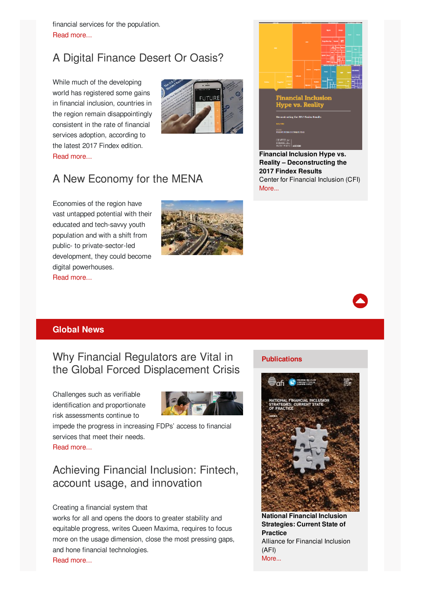financial services for the population. Read [more...](https://www.afi-global.org/news/2018/07/banque-centrale-de-tunisie-joins-afi-network-its-newest-member)

# A Digital Finance Desert Or Oasis?

While much of the developing world has registered some gains in financial inclusion, countries in the region remain disappointingly consistent in the rate of financial services adoption, according to the latest 2017 Findex edition. Read [more...](https://blog.mondato.com/mena-digital-finance-desert-or-oasis/)





**Financial Inclusion Hype vs. Reality – Deconstructing the 2017 Findex Results** Center for Financial Inclusion (CFI) [More...](http://www.centerforfinancialinclusion.org/storage/FI_Hype_vs_Reality_Deconstructing_2017_Findex_Results.pdf)

# A New Economy for the MENA

Economies of the region have vast untapped potential with their educated and tech-savvy youth population and with a shift from public- to private-sector-led development, they could become digital powerhouses. Read [more...](https://www.project-syndicate.org/commentary/middle-east-north-africa-digital-economy-by-rabah-arezki-and-hafez-ghanem-1-2018-05)





## **Global News**

Why Financial Regulators are Vital in the Global Forced Displacement Crisis

Challenges such as verifiable identification and proportionate risk assessments continue to



impede the progress in increasing FDPs' access to financial services that meet their needs.

Read [more...](https://www.afi-global.org/blog/2018/06/why-financial-regulators-are-vital-global-forced-displacement-crisis)

# Achieving Financial Inclusion: Fintech, account usage, and innovation

#### Creating a financial system that

works for all and opens the doors to greater stability and equitable progress, writes Queen Maxima, requires to focus more on the usage dimension, close the most pressing gaps, and hone financial technologies. Read [more...](https://blogs.worldbank.org/voices/achieving-financial-inclusion-fintech-account-usage-and-innovation)

#### **Publications**



**National Financial Inclusion Strategies: Current State of Practice** Alliance for Financial Inclusion (AFI) [More...](https://www.afi-global.org/sites/default/files/publications/2018-06/National Financial Inclusion Strategies.pdf)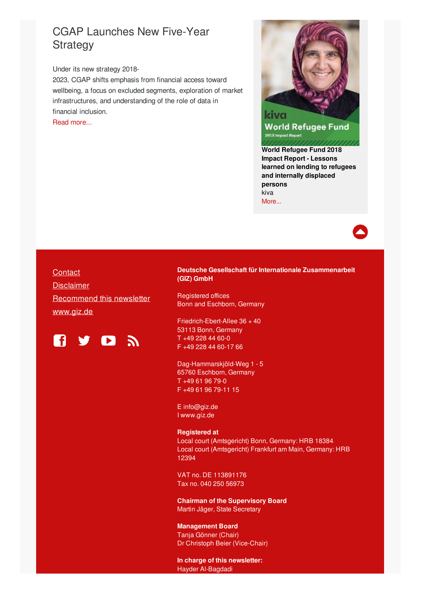# CGAP Launches New Five-Year **Strategy**

Under its new strategy 2018-

2023, CGAP shifts emphasis from financial access toward wellbeing, a focus on excluded segments, exploration of market infrastructures, and understanding of the role of data in financial inclusion.

Read [more...](http://www.cgap.org/news/cgap-launches-new-five-year-strategy)



**World Refugee Fund** 2018 Impact Report

**World Refugee Fund 2018 Impact Report - Lessons learned on lending to refugees and internally displaced persons** kiva [More...](https://www-kiva-org.global.ssl.fastly.net/cms/kiva_world_refugee_fund_impact_report_2018_6.pdf)

## **[Contact](mailto: financialinclusion-mena@giz.de?subject=Newsletter feedback)**

**[Disclaimer](https://www.giz.de/de/newsletter/37575.html)** [Recommend](https://login.mailingwork.de/email/testPreview/simulateMailingFunction/4999) this newsletter [www.giz.de](https://www.giz.de)



#### **Deutsche Gesellschaft für Internationale Zusammenarbeit (GIZ) GmbH**

Registered offices Bonn and Eschborn, Germany

Friedrich-Ebert-Allee 36 + 40 53113 Bonn, Germany T +49 228 44 60-0 F +49 228 44 60-17 66

Dag-Hammarskjöld-Weg 1 - 5 65760 Eschborn, Germany T +49 61 96 79-0 F +49 61 96 79-11 15

E [info@giz.de](mailto:info@giz.de) I [www.giz.de](https://www.giz.de/en/html/index.html)

#### **Registered at**

Local court (Amtsgericht) Bonn, Germany: HRB 18384 Local court (Amtsgericht) Frankfurt am Main, Germany: HRB 12394

VAT no. DE 113891176 Tax no. 040 250 56973

**Chairman of the Supervisory Board** Martin Jäger, State Secretary

**Management Board** Tanja Gönner (Chair) Dr Christoph Beier (Vice-Chair)

**In charge of this newsletter:** Hayder [Al-Bagdadi](mailto:financialinclusion-mena@giz.de?subject=Newsletter Feedback)